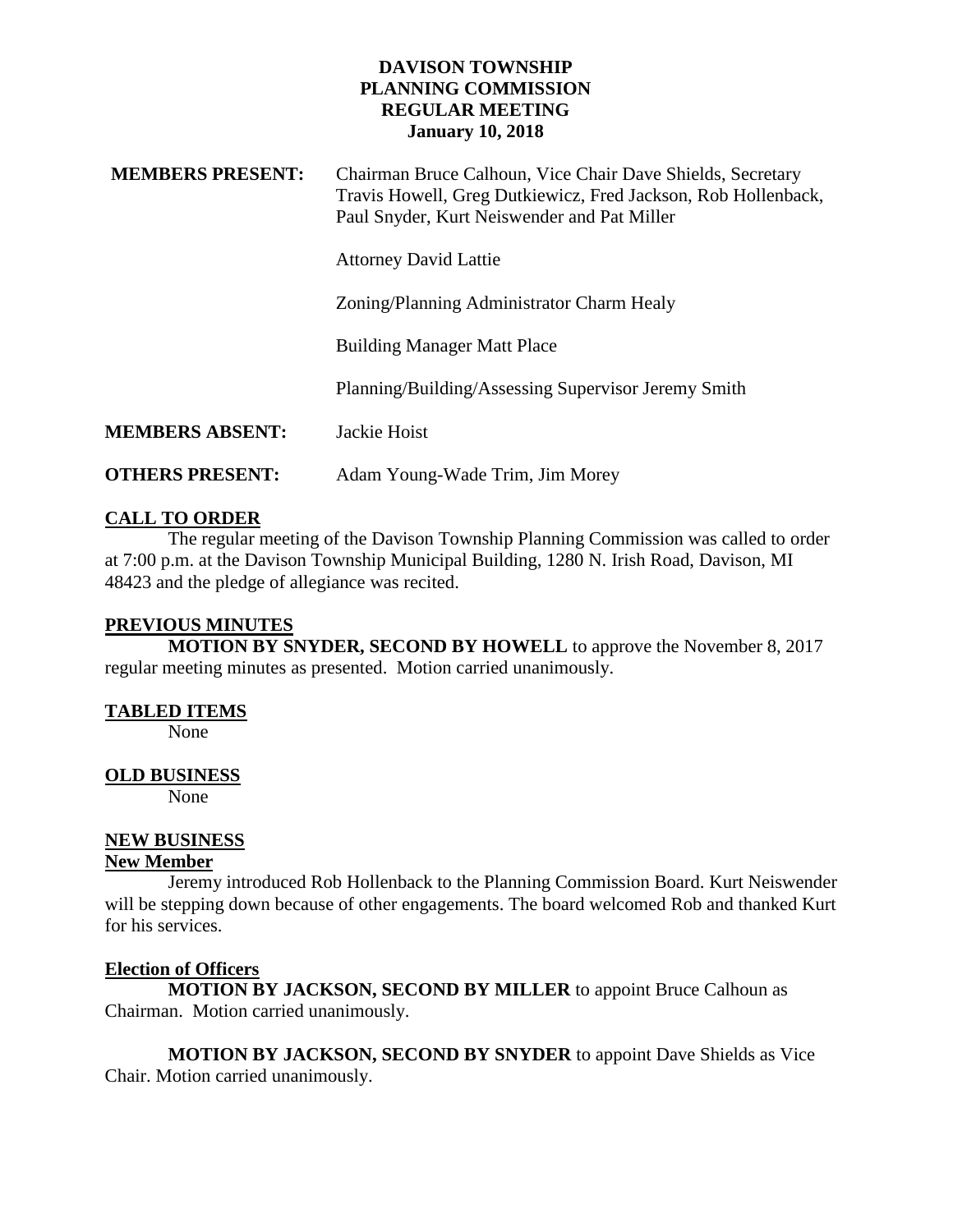#### **DAVISON TOWNSHIP PLANNING COMMISSION REGULAR MEETING January 10, 2018**

| <b>MEMBERS PRESENT:</b> | Chairman Bruce Calhoun, Vice Chair Dave Shields, Secretary<br>Travis Howell, Greg Dutkiewicz, Fred Jackson, Rob Hollenback,<br>Paul Snyder, Kurt Neiswender and Pat Miller |
|-------------------------|----------------------------------------------------------------------------------------------------------------------------------------------------------------------------|
|                         | <b>Attorney David Lattie</b>                                                                                                                                               |
|                         | Zoning/Planning Administrator Charm Healy                                                                                                                                  |
|                         | <b>Building Manager Matt Place</b>                                                                                                                                         |
|                         | Planning/Building/Assessing Supervisor Jeremy Smith                                                                                                                        |
| <b>MEMBERS ABSENT:</b>  | Jackie Hoist                                                                                                                                                               |
| <b>OTHERS PRESENT:</b>  | Adam Young-Wade Trim, Jim Morey                                                                                                                                            |

## **CALL TO ORDER**

The regular meeting of the Davison Township Planning Commission was called to order at 7:00 p.m. at the Davison Township Municipal Building, 1280 N. Irish Road, Davison, MI 48423 and the pledge of allegiance was recited.

#### **PREVIOUS MINUTES**

**MOTION BY SNYDER, SECOND BY HOWELL** to approve the November 8, 2017 regular meeting minutes as presented. Motion carried unanimously.

## **TABLED ITEMS**

None

## **OLD BUSINESS**

None

# **NEW BUSINESS**

## **New Member**

Jeremy introduced Rob Hollenback to the Planning Commission Board. Kurt Neiswender will be stepping down because of other engagements. The board welcomed Rob and thanked Kurt for his services.

## **Election of Officers**

**MOTION BY JACKSON, SECOND BY MILLER** to appoint Bruce Calhoun as Chairman. Motion carried unanimously.

**MOTION BY JACKSON, SECOND BY SNYDER** to appoint Dave Shields as Vice Chair. Motion carried unanimously.